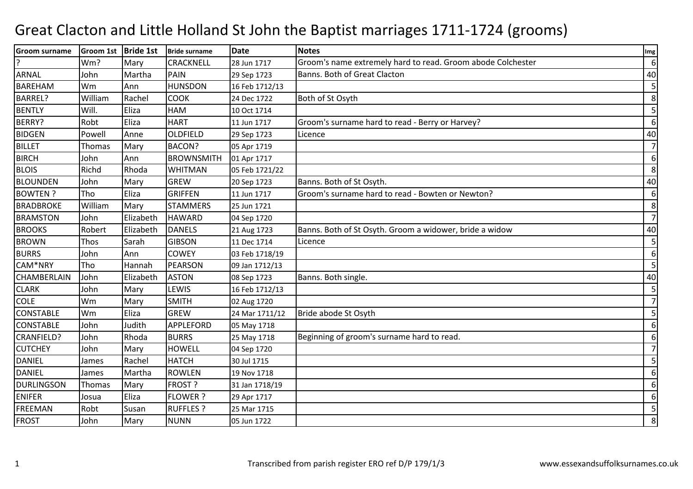## Great Clacton and Little Holland St John the Baptist marriages 1711-1724 (grooms)

| Groom surname     | Groom 1st Bride 1st |           | Bride surname     | <b>Date</b>    | <b>Notes</b>                                                | Img            |
|-------------------|---------------------|-----------|-------------------|----------------|-------------------------------------------------------------|----------------|
|                   | Wm?                 | Mary      | <b>CRACKNELL</b>  | 28 Jun 1717    | Groom's name extremely hard to read. Groom abode Colchester | 6              |
| ARNAL             | John                | Martha    | PAIN              | 29 Sep 1723    | Banns. Both of Great Clacton                                | 40             |
| <b>BAREHAM</b>    | Wm                  | Ann       | <b>HUNSDON</b>    | 16 Feb 1712/13 |                                                             | 5              |
| BARREL?           | William             | Rachel    | <b>COOK</b>       | 24 Dec 1722    | Both of St Osyth                                            | 8              |
| <b>BENTLY</b>     | Will.               | Eliza     | <b>HAM</b>        | 10 Oct 1714    |                                                             | 5              |
| BERRY?            | Robt                | Eliza     | <b>HART</b>       | 11 Jun 1717    | Groom's surname hard to read - Berry or Harvey?             | 6              |
| <b>BIDGEN</b>     | Powell              | Anne      | <b>OLDFIELD</b>   | 29 Sep 1723    | Licence                                                     | 40             |
| <b>BILLET</b>     | <b>Thomas</b>       | Mary      | <b>BACON?</b>     | 05 Apr 1719    |                                                             | $\overline{7}$ |
| <b>BIRCH</b>      | John                | Ann       | <b>BROWNSMITH</b> | 01 Apr 1717    |                                                             | 6              |
| <b>BLOIS</b>      | Richd               | Rhoda     | <b>WHITMAN</b>    | 05 Feb 1721/22 |                                                             | 8              |
| <b>BLOUNDEN</b>   | John                | Mary      | <b>GREW</b>       | 20 Sep 1723    | Banns. Both of St Osyth.                                    | 40             |
| <b>BOWTEN?</b>    | Tho                 | Eliza     | <b>GRIFFEN</b>    | 11 Jun 1717    | Groom's surname hard to read - Bowten or Newton?            | 6              |
| <b>BRADBROKE</b>  | William             | Mary      | <b>STAMMERS</b>   | 25 Jun 1721    |                                                             | 8              |
| <b>BRAMSTON</b>   | John                | Elizabeth | <b>HAWARD</b>     | 04 Sep 1720    |                                                             | $\overline{7}$ |
| <b>BROOKS</b>     | Robert              | Elizabeth | <b>DANELS</b>     | 21 Aug 1723    | Banns. Both of St Osyth. Groom a widower, bride a widow     | 40             |
| <b>BROWN</b>      | Thos                | Sarah     | <b>GIBSON</b>     | 11 Dec 1714    | Licence                                                     | 5              |
| <b>BURRS</b>      | John                | Ann       | <b>COWEY</b>      | 03 Feb 1718/19 |                                                             | 6              |
| CAM*NRY           | Tho                 | Hannah    | <b>PEARSON</b>    | 09 Jan 1712/13 |                                                             | 5              |
| CHAMBERLAIN       | John                | Elizabeth | <b>ASTON</b>      | 08 Sep 1723    | Banns. Both single.                                         | 40             |
| <b>CLARK</b>      | John                | Mary      | <b>LEWIS</b>      | 16 Feb 1712/13 |                                                             | 5              |
| <b>COLE</b>       | Wm                  | Mary      | <b>SMITH</b>      | 02 Aug 1720    |                                                             | $\overline{7}$ |
| <b>CONSTABLE</b>  | Wm                  | Eliza     | <b>GREW</b>       | 24 Mar 1711/12 | Bride abode St Osyth                                        | 5              |
| <b>CONSTABLE</b>  | John                | Judith    | <b>APPLEFORD</b>  | 05 May 1718    |                                                             | 6              |
| CRANFIELD?        | John                | Rhoda     | <b>BURRS</b>      | 25 May 1718    | Beginning of groom's surname hard to read.                  | 6              |
| <b>CUTCHEY</b>    | John                | Mary      | <b>HOWELL</b>     | 04 Sep 1720    |                                                             | $\overline{7}$ |
| <b>DANIEL</b>     | James               | Rachel    | <b>HATCH</b>      | 30 Jul 1715    |                                                             | 5              |
| <b>DANIEL</b>     | James               | Martha    | <b>ROWLEN</b>     | 19 Nov 1718    |                                                             | 6              |
| <b>DURLINGSON</b> | Thomas              | Mary      | <b>FROST?</b>     | 31 Jan 1718/19 |                                                             | 6              |
| <b>ENIFER</b>     | Josua               | Eliza     | <b>FLOWER?</b>    | 29 Apr 1717    |                                                             | 6              |
| <b>FREEMAN</b>    | Robt                | Susan     | <b>RUFFLES?</b>   | 25 Mar 1715    |                                                             | 5              |
| <b>FROST</b>      | John                | Mary      | <b>NUNN</b>       | 05 Jun 1722    |                                                             | 8              |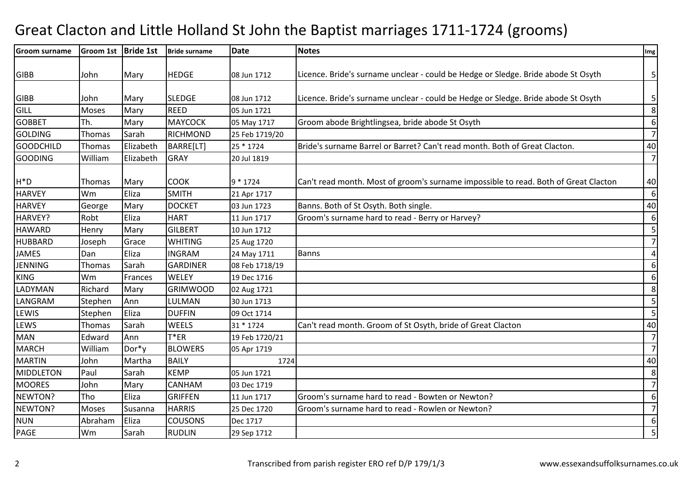## Great Clacton and Little Holland St John the Baptist marriages 1711-1724 (grooms)

| <b>Groom surname</b> | Groom 1st   Bride 1st |           | <b>Bride surname</b> | <b>Date</b>    | <b>Notes</b>                                                                        | Img                     |
|----------------------|-----------------------|-----------|----------------------|----------------|-------------------------------------------------------------------------------------|-------------------------|
| <b>GIBB</b>          | John                  | Mary      | <b>HEDGE</b>         | 08 Jun 1712    | Licence. Bride's surname unclear - could be Hedge or Sledge. Bride abode St Osyth   | $\mathsf{5}$            |
|                      |                       |           |                      |                |                                                                                     |                         |
| <b>GIBB</b>          | John                  | Mary      | <b>SLEDGE</b>        | 08 Jun 1712    | Licence. Bride's surname unclear - could be Hedge or Sledge. Bride abode St Osyth   | $\mathbf{5}$            |
| <b>GILL</b>          | Moses                 | Mary      | <b>REED</b>          | 05 Jun 1721    |                                                                                     | $\bf 8$                 |
| <b>GOBBET</b>        | Th.                   | Mary      | <b>MAYCOCK</b>       | 05 May 1717    | Groom abode Brightlingsea, bride abode St Osyth                                     | $6 \mid$                |
| <b>GOLDING</b>       | Thomas                | Sarah     | <b>RICHMOND</b>      | 25 Feb 1719/20 |                                                                                     | $\overline{7}$          |
| <b>GOODCHILD</b>     | Thomas                | Elizabeth | BARRE[LT]            | 25 * 1724      | Bride's surname Barrel or Barret? Can't read month. Both of Great Clacton.          | 40                      |
| <b>GOODING</b>       | William               | Elizabeth | <b>GRAY</b>          | 20 Jul 1819    |                                                                                     | $\overline{7}$          |
|                      |                       |           |                      |                |                                                                                     |                         |
| $H^*D$               | Thomas                | Mary      | <b>COOK</b>          | $9 * 1724$     | Can't read month. Most of groom's surname impossible to read. Both of Great Clacton | 40                      |
| <b>HARVEY</b>        | Wm                    | Eliza     | <b>SMITH</b>         | 21 Apr 1717    |                                                                                     | $\sqrt{6}$              |
| <b>HARVEY</b>        | George                | Mary      | <b>DOCKET</b>        | 03 Jun 1723    | Banns. Both of St Osyth. Both single.                                               | $40\,$                  |
| HARVEY?              | Robt                  | Eliza     | <b>HART</b>          | 11 Jun 1717    | Groom's surname hard to read - Berry or Harvey?                                     | $\boldsymbol{6}$        |
| <b>HAWARD</b>        | Henry                 | Mary      | <b>GILBERT</b>       | 10 Jun 1712    |                                                                                     | 5                       |
| <b>HUBBARD</b>       | Joseph                | Grace     | <b>WHITING</b>       | 25 Aug 1720    |                                                                                     | $\overline{7}$          |
| <b>JAMES</b>         | Dan                   | Eliza     | <b>INGRAM</b>        | 24 May 1711    | <b>Banns</b>                                                                        | $\pmb{4}$               |
| JENNING              | Thomas                | Sarah     | <b>GARDINER</b>      | 08 Feb 1718/19 |                                                                                     | $6 \mid$                |
| <b>KING</b>          | Wm                    | Frances   | WELEY                | 19 Dec 1716    |                                                                                     | $\boldsymbol{6}$        |
| LADYMAN              | Richard               | Mary      | <b>GRIMWOOD</b>      | 02 Aug 1721    |                                                                                     | 8                       |
| LANGRAM              | Stephen               | Ann       | LULMAN               | 30 Jun 1713    |                                                                                     | 5                       |
| <b>LEWIS</b>         | Stephen               | Eliza     | <b>DUFFIN</b>        | 09 Oct 1714    |                                                                                     | $\overline{\mathbf{5}}$ |
| <b>LEWS</b>          | Thomas                | Sarah     | <b>WEELS</b>         | 31 * 1724      | Can't read month. Groom of St Osyth, bride of Great Clacton                         | 40                      |
| <b>MAN</b>           | Edward                | Ann       | $T*ER$               | 19 Feb 1720/21 |                                                                                     | $\overline{7}$          |
| <b>MARCH</b>         | William               | Dor*y     | <b>BLOWERS</b>       | 05 Apr 1719    |                                                                                     | $\overline{7}$          |
| <b>MARTIN</b>        | John                  | Martha    | <b>BAILY</b>         | 1724           |                                                                                     | $40\,$                  |
| MIDDLETON            | Paul                  | Sarah     | <b>KEMP</b>          | 05 Jun 1721    |                                                                                     | $\, 8$                  |
| <b>MOORES</b>        | John                  | Mary      | CANHAM               | 03 Dec 1719    |                                                                                     | $\overline{7}$          |
| NEWTON?              | Tho                   | Eliza     | <b>GRIFFEN</b>       | 11 Jun 1717    | Groom's surname hard to read - Bowten or Newton?                                    | $\boldsymbol{6}$        |
| NEWTON?              | Moses                 | Susanna   | <b>HARRIS</b>        | 25 Dec 1720    | Groom's surname hard to read - Rowlen or Newton?                                    | $\overline{7}$          |
| <b>NUN</b>           | Abraham               | Eliza     | <b>COUSONS</b>       | Dec 1717       |                                                                                     | $\boldsymbol{6}$        |
| PAGE                 | Wm                    | Sarah     | <b>RUDLIN</b>        | 29 Sep 1712    |                                                                                     | $\overline{\mathbf{5}}$ |